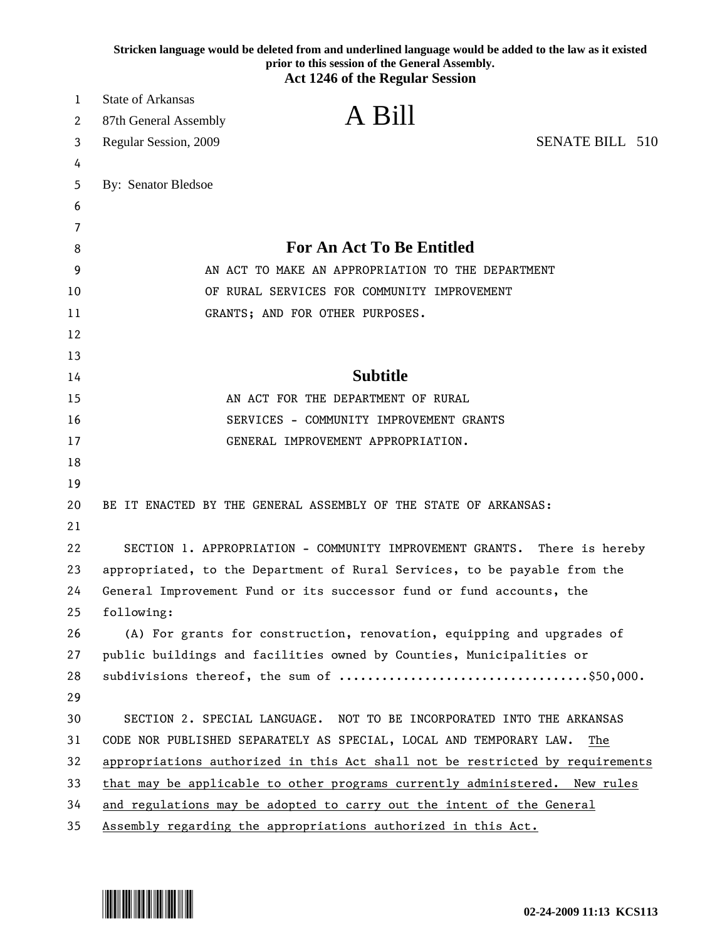|    | Stricken language would be deleted from and underlined language would be added to the law as it existed<br>prior to this session of the General Assembly. |
|----|-----------------------------------------------------------------------------------------------------------------------------------------------------------|
|    | <b>Act 1246 of the Regular Session</b>                                                                                                                    |
| 1  | <b>State of Arkansas</b>                                                                                                                                  |
| 2  | A Bill<br>87th General Assembly                                                                                                                           |
| 3  | <b>SENATE BILL 510</b><br>Regular Session, 2009                                                                                                           |
| 4  |                                                                                                                                                           |
| 5  | By: Senator Bledsoe                                                                                                                                       |
| 6  |                                                                                                                                                           |
| 7  |                                                                                                                                                           |
| 8  | <b>For An Act To Be Entitled</b>                                                                                                                          |
| 9  | AN ACT TO MAKE AN APPROPRIATION TO THE DEPARTMENT                                                                                                         |
| 10 | OF RURAL SERVICES FOR COMMUNITY IMPROVEMENT                                                                                                               |
| 11 | GRANTS; AND FOR OTHER PURPOSES.                                                                                                                           |
| 12 |                                                                                                                                                           |
| 13 |                                                                                                                                                           |
| 14 | <b>Subtitle</b>                                                                                                                                           |
| 15 | AN ACT FOR THE DEPARTMENT OF RURAL                                                                                                                        |
| 16 | SERVICES - COMMUNITY IMPROVEMENT GRANTS                                                                                                                   |
| 17 | GENERAL IMPROVEMENT APPROPRIATION.                                                                                                                        |
| 18 |                                                                                                                                                           |
| 19 |                                                                                                                                                           |
| 20 | BE IT ENACTED BY THE GENERAL ASSEMBLY OF THE STATE OF ARKANSAS:                                                                                           |
| 21 |                                                                                                                                                           |
| 22 | SECTION 1. APPROPRIATION - COMMUNITY IMPROVEMENT GRANTS. There is hereby                                                                                  |
| 23 | appropriated, to the Department of Rural Services, to be payable from the                                                                                 |
| 24 | General Improvement Fund or its successor fund or fund accounts, the                                                                                      |
| 25 | following:                                                                                                                                                |
| 26 | (A) For grants for construction, renovation, equipping and upgrades of                                                                                    |
| 27 | public buildings and facilities owned by Counties, Municipalities or                                                                                      |
| 28 |                                                                                                                                                           |
| 29 |                                                                                                                                                           |
| 30 | SECTION 2. SPECIAL LANGUAGE. NOT TO BE INCORPORATED INTO THE ARKANSAS                                                                                     |
| 31 | CODE NOR PUBLISHED SEPARATELY AS SPECIAL, LOCAL AND TEMPORARY LAW.<br>The                                                                                 |
| 32 | appropriations authorized in this Act shall not be restricted by requirements                                                                             |
| 33 | that may be applicable to other programs currently administered. New rules                                                                                |
| 34 | and regulations may be adopted to carry out the intent of the General                                                                                     |
| 35 | Assembly regarding the appropriations authorized in this Act.                                                                                             |

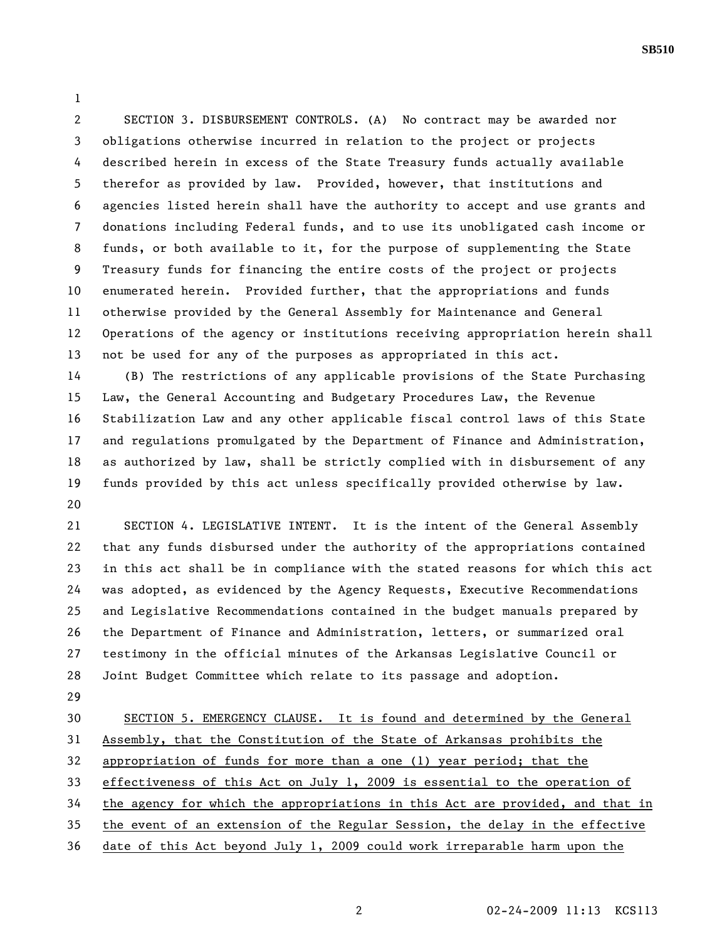**SB510** 

1

2 SECTION 3. DISBURSEMENT CONTROLS. (A) No contract may be awarded nor 3 obligations otherwise incurred in relation to the project or projects 4 described herein in excess of the State Treasury funds actually available 5 therefor as provided by law. Provided, however, that institutions and 6 agencies listed herein shall have the authority to accept and use grants and 7 donations including Federal funds, and to use its unobligated cash income or 8 funds, or both available to it, for the purpose of supplementing the State 9 Treasury funds for financing the entire costs of the project or projects 10 enumerated herein. Provided further, that the appropriations and funds 11 otherwise provided by the General Assembly for Maintenance and General 12 Operations of the agency or institutions receiving appropriation herein shall 13 not be used for any of the purposes as appropriated in this act.

14 (B) The restrictions of any applicable provisions of the State Purchasing 15 Law, the General Accounting and Budgetary Procedures Law, the Revenue 16 Stabilization Law and any other applicable fiscal control laws of this State 17 and regulations promulgated by the Department of Finance and Administration, 18 as authorized by law, shall be strictly complied with in disbursement of any 19 funds provided by this act unless specifically provided otherwise by law. 20

21 SECTION 4. LEGISLATIVE INTENT. It is the intent of the General Assembly 22 that any funds disbursed under the authority of the appropriations contained 23 in this act shall be in compliance with the stated reasons for which this act 24 was adopted, as evidenced by the Agency Requests, Executive Recommendations 25 and Legislative Recommendations contained in the budget manuals prepared by 26 the Department of Finance and Administration, letters, or summarized oral 27 testimony in the official minutes of the Arkansas Legislative Council or 28 Joint Budget Committee which relate to its passage and adoption.

29

30 SECTION 5. EMERGENCY CLAUSE. It is found and determined by the General 31 Assembly, that the Constitution of the State of Arkansas prohibits the 32 appropriation of funds for more than a one (1) year period; that the 33 effectiveness of this Act on July 1, 2009 is essential to the operation of 34 the agency for which the appropriations in this Act are provided, and that in 35 the event of an extension of the Regular Session, the delay in the effective 36 date of this Act beyond July 1, 2009 could work irreparable harm upon the